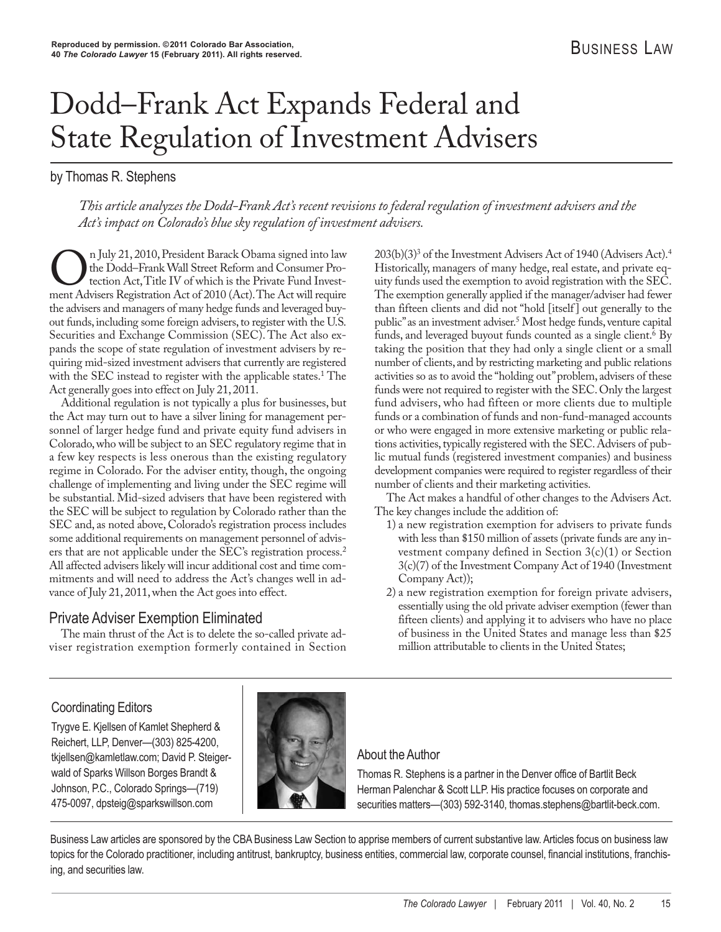# Dodd–Frank Act Expands Federal and State Regulation of Investment Advisers

by Thomas R. Stephens

*This article analyzes the Dodd-Frank Act's recent revisions to federal regulation of investment advisers and the Act's impact on Colorado's blue sky regulation of investment advisers.*

In July 21, 2010, President Barack Obama signed into law<br>the Dodd–Frank Wall Street Reform and Consumer Pro-<br>tection Act, Title IV of which is the Private Fund Invest-<br>ment Advisers Registration Act of 2010 (Act). The Act the Dodd–Frank Wall Street Reform and Consumer Protection Act, Title IV of which is the Private Fund Investment Advisers Registration Act of 2010 (Act). The Act will require the advisers and managers of many hedge funds and leveraged buyout funds, including some foreign advisers, to register with the U.S. Securities and Exchange Commission (SEC). The Act also expands the scope of state regulation of investment advisers by requiring mid-sized investment advisers that currently are registered with the SEC instead to register with the applicable states.<sup>1</sup> The Act generally goes into effect on July 21, 2011.

Additional regulation is not typically a plus for businesses, but the Act may turn out to have a silver lining for management personnel of larger hedge fund and private equity fund advisers in Colorado, who will be subject to an SEC regulatory regime that in a few key respects is less onerous than the existing regulatory regime in Colorado. For the adviser entity, though, the ongoing challenge of implementing and living under the SEC regime will be substantial. Mid-sized advisers that have been registered with the SEC will be subject to regulation by Colorado rather than the SEC and, as noted above, Colorado's registration process includes some additional requirements on management personnel of advisers that are not applicable under the SEC's registration process.2 All affected advisers likely will incur additional cost and time commitments and will need to address the Act's changes well in advance of July 21, 2011, when the Act goes into effect.

# Private Adviser Exemption Eliminated

The main thrust of the Act is to delete the so-called private adviser registration exemption formerly contained in Section 203(b)(3)3 of the Investment Advisers Act of 1940 (Advisers Act).4 Historically, managers of many hedge, real estate, and private equity funds used the exemption to avoid registration with the SEC. The exemption generally applied if the manager/adviser had fewer than fifteen clients and did not "hold [itself] out generally to the public" as an investment adviser.5 Most hedge funds, venture capital funds, and leveraged buyout funds counted as a single client.<sup>6</sup> By taking the position that they had only a single client or a small number of clients, and by restricting marketing and public relations activities so as to avoid the "holding out" problem, advisers of these funds were not required to register with the SEC. Only the largest fund advisers, who had fifteen or more clients due to multiple funds or a combination of funds and non-fund-managed accounts or who were engaged in more extensive marketing or public relations activities, typically registered with the SEC. Advisers of public mutual funds (registered investment companies) and business development companies were required to register regardless of their number of clients and their marketing activities.

The Act makes a handful of other changes to the Advisers Act. The key changes include the addition of:

- 1) a new registration exemption for advisers to private funds with less than \$150 million of assets (private funds are any investment company defined in Section 3(c)(1) or Section 3(c)(7) of the Investment Company Act of 1940 (Investment Company Act));
- 2) a new registration exemption for foreign private advisers, essentially using the old private adviser exemption (fewer than fifteen clients) and applying it to advisers who have no place of business in the United States and manage less than \$25 million attributable to clients in the United States;

# Coordinating Editors

Trygve E. Kjellsen of Kamlet Shepherd & Reichert, LLP, Denver—(303) 825-4200, tkjellsen@kamletlaw.com; David P. Steiger wald of Sparks Willson Borges Brandt & Johnson, P.C., Colorado Springs—(719) 475-0097, dpsteig@sparkswillson.com



# About the Author

Thomas R. Stephens is a partner in the Denver office of Bartlit Beck Herman Palenchar & Scott LLP. His practice focuses on corporate and securities matters—(303) 592-3140, thomas.stephens@bartlit-beck.com.

Business Law articles are sponsored by the CBA Business Law Section to apprise members of current substantive law. Articles focus on business law topics for the Colorado practitioner, including antitrust, bankruptcy, business entities, commercial law, corporate counsel, financial institutions, franchising, and securities law.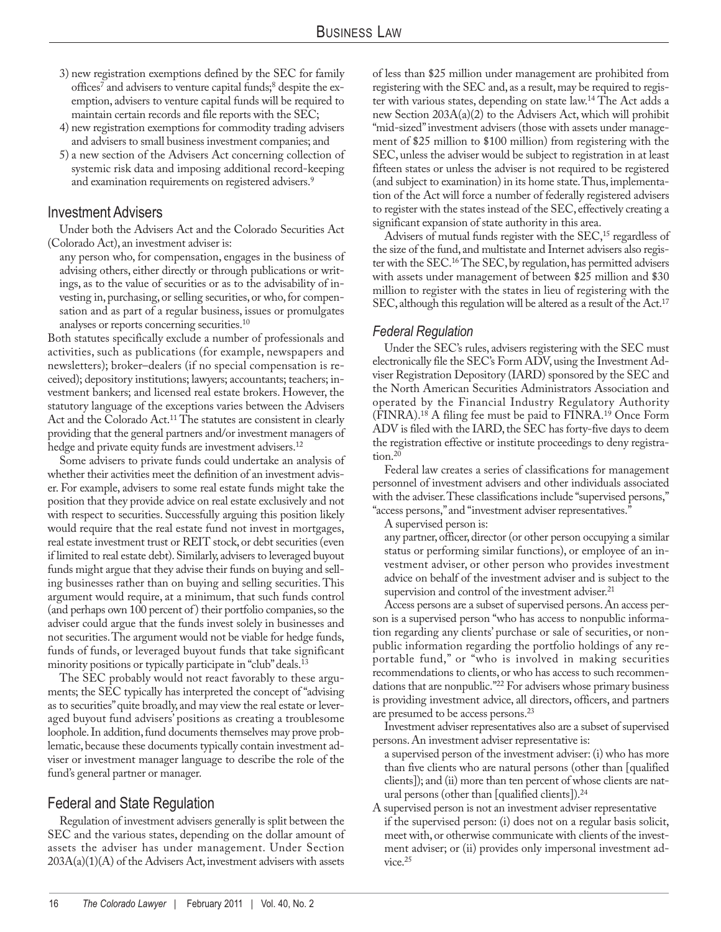- 3) new registration exemptions defined by the SEC for family offices<sup>7</sup> and advisers to venture capital funds;<sup>8</sup> despite the exemption, advisers to venture capital funds will be required to maintain certain records and file reports with the SEC;
- 4) new registration exemptions for commodity trading advisers and advisers to small business investment companies; and
- 5) a new section of the Advisers Act concerning collection of systemic risk data and imposing additional record-keeping and examination requirements on registered advisers.<sup>9</sup>

## Investment Advisers

Under both the Advisers Act and the Colorado Securities Act (Colorado Act), an investment adviser is:

any person who, for compensation, engages in the business of advising others, either directly or through publications or writings, as to the value of securities or as to the advisability of investing in, purchasing, or selling securities, or who, for compensation and as part of a regular business, issues or promulgates analyses or reports concerning securities.<sup>10</sup>

Both statutes specifically exclude a number of professionals and activities, such as publications (for example, newspapers and newsletters); broker–dealers (if no special compensation is received); depository institutions; lawyers; accountants; teachers; investment bankers; and licensed real estate brokers. However, the statutory language of the exceptions varies between the Advisers Act and the Colorado Act.<sup>11</sup> The statutes are consistent in clearly providing that the general partners and/or investment managers of hedge and private equity funds are investment advisers.<sup>12</sup>

Some advisers to private funds could undertake an analysis of whether their activities meet the definition of an investment adviser. For example, advisers to some real estate funds might take the position that they provide advice on real estate exclusively and not with respect to securities. Successfully arguing this position likely would require that the real estate fund not invest in mortgages, real estate investment trust or REIT stock, or debt securities (even if limited to real estate debt). Similarly, advisers to leveraged buyout funds might argue that they advise their funds on buying and selling businesses rather than on buying and selling securities. This argument would require, at a minimum, that such funds control (and perhaps own 100 percent of) their portfolio companies, so the adviser could argue that the funds invest solely in businesses and not securities. The argument would not be viable for hedge funds, funds of funds, or leveraged buyout funds that take significant minority positions or typically participate in "club" deals.13

The SEC probably would not react favorably to these arguments; the SEC typically has interpreted the concept of "advising as to securities" quite broadly, and may view the real estate or leveraged buyout fund advisers' positions as creating a troublesome loophole. In addition, fund documents themselves may prove problematic, because these documents typically contain investment adviser or investment manager language to describe the role of the fund's general partner or manager.

# Federal and State Regulation

Regulation of investment advisers generally is split between the SEC and the various states, depending on the dollar amount of assets the adviser has under management. Under Section  $203A(a)(1)(A)$  of the Advisers Act, investment advisers with assets

of less than \$25 million under management are prohibited from registering with the SEC and, as a result, may be required to register with various states, depending on state law.14 The Act adds a new Section 203A(a)(2) to the Advisers Act, which will prohibit "mid-sized" investment advisers (those with assets under management of \$25 million to \$100 million) from registering with the SEC, unless the adviser would be subject to registration in at least fifteen states or unless the adviser is not required to be registered (and subject to examination) in its home state. Thus, implementation of the Act will force a number of federally registered advisers to register with the states instead of the SEC, effectively creating a significant expansion of state authority in this area.

Advisers of mutual funds register with the SEC,<sup>15</sup> regardless of the size of the fund, and multistate and Internet advisers also register with the SEC.16 The SEC, by regulation, has permitted advisers with assets under management of between \$25 million and \$30 million to register with the states in lieu of registering with the SEC, although this regulation will be altered as a result of the Act.<sup>17</sup>

#### *Federal Regulation*

Under the SEC's rules, advisers registering with the SEC must electronically file the SEC's Form ADV, using the Investment Adviser Registration Depository (IARD) sponsored by the SEC and the North American Securities Administrators Association and operated by the Financial Industry Regulatory Authority (FINRA).18 A filing fee must be paid to FINRA.19 Once Form ADV is filed with the IARD, the SEC has forty-five days to deem the registration effective or institute proceedings to deny registration. $20$ 

Federal law creates a series of classifications for management personnel of investment advisers and other individuals associated with the adviser. These classifications include "supervised persons," "access persons," and "investment adviser representatives."

A supervised person is:

any partner, officer, director (or other person occupying a similar status or performing similar functions), or employee of an investment adviser, or other person who provides investment advice on behalf of the investment adviser and is subject to the supervision and control of the investment adviser.<sup>21</sup>

Access persons are a subset of supervised persons. An access person is a supervised person "who has access to nonpublic information regarding any clients' purchase or sale of securities, or non public information regarding the portfolio holdings of any reportable fund," or "who is involved in making securities recommendations to clients, or who has access to such recommendations that are nonpublic."22 For advisers whose primary business is providing investment advice, all directors, officers, and partners are presumed to be access persons.23

Investment adviser representatives also are a subset of supervised persons. An investment adviser representative is:

a supervised person of the investment adviser: (i) who has more than five clients who are natural persons (other than [qualified clients]); and (ii) more than ten percent of whose clients are natural persons (other than [qualified clients]).24

A supervised person is not an investment adviser representative if the supervised person: (i) does not on a regular basis solicit, meet with, or otherwise communicate with clients of the investment adviser; or (ii) provides only impersonal investment advice.<sup>25</sup>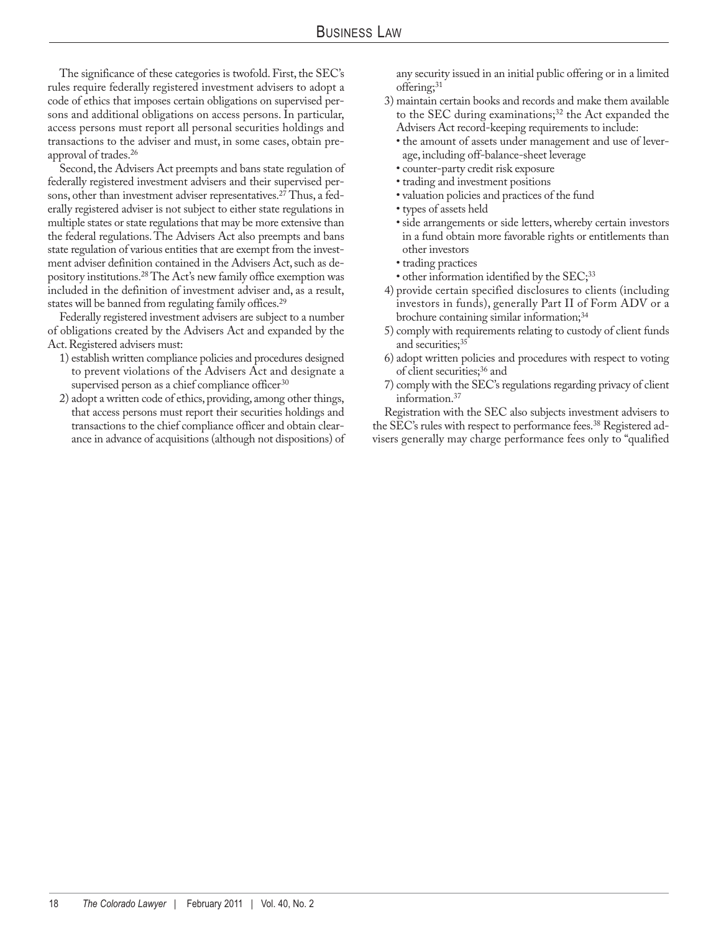The significance of these categories is twofold. First, the SEC's rules require federally registered investment advisers to adopt a code of ethics that imposes certain obligations on supervised persons and additional obligations on access persons. In particular, access persons must report all personal securities holdings and transactions to the adviser and must, in some cases, obtain preapproval of trades.26

Second, the Advisers Act preempts and bans state regulation of federally registered investment advisers and their supervised persons, other than investment adviser representatives.<sup>27</sup> Thus, a federally registered adviser is not subject to either state regulations in multiple states or state regulations that may be more extensive than the federal regulations. The Advisers Act also preempts and bans state regulation of various entities that are exempt from the investment adviser definition contained in the Advisers Act, such as depository institutions.28 The Act's new family office exemption was included in the definition of investment adviser and, as a result, states will be banned from regulating family offices.<sup>29</sup>

Federally registered investment advisers are subject to a number of obligations created by the Advisers Act and expanded by the Act. Registered advisers must:

- 1) establish written compliance policies and procedures designed to prevent violations of the Advisers Act and designate a supervised person as a chief compliance officer<sup>30</sup>
- 2) adopt a written code of ethics, providing, among other things, that access persons must report their securities holdings and transactions to the chief compliance officer and obtain clearance in advance of acquisitions (although not dispositions) of

any security issued in an initial public offering or in a limited offering;<sup>31</sup>

- 3) maintain certain books and records and make them available to the SEC during examinations;<sup>32</sup> the Act expanded the Advisers Act record-keeping requirements to include:
	- the amount of assets under management and use of leverage, including off-balance-sheet leverage
	- counter-party credit risk exposure
	- trading and investment positions
	- valuation policies and practices of the fund
	- types of assets held
	- side arrangements or side letters, whereby certain investors in a fund obtain more favorable rights or entitlements than other investors
	- trading practices
	- other information identified by the SEC;<sup>33</sup>
- 4) provide certain specified disclosures to clients (including investors in funds), generally Part II of Form ADV or a brochure containing similar information;<sup>34</sup>
- 5) comply with requirements relating to custody of client funds and securities;<sup>35</sup>
- 6) adopt written policies and procedures with respect to voting of client securities;<sup>36</sup> and
- 7) comply with the SEC's regulations regarding privacy of client information.37

Registration with the SEC also subjects investment advisers to the SEC's rules with respect to performance fees.<sup>38</sup> Registered advisers generally may charge performance fees only to "qualified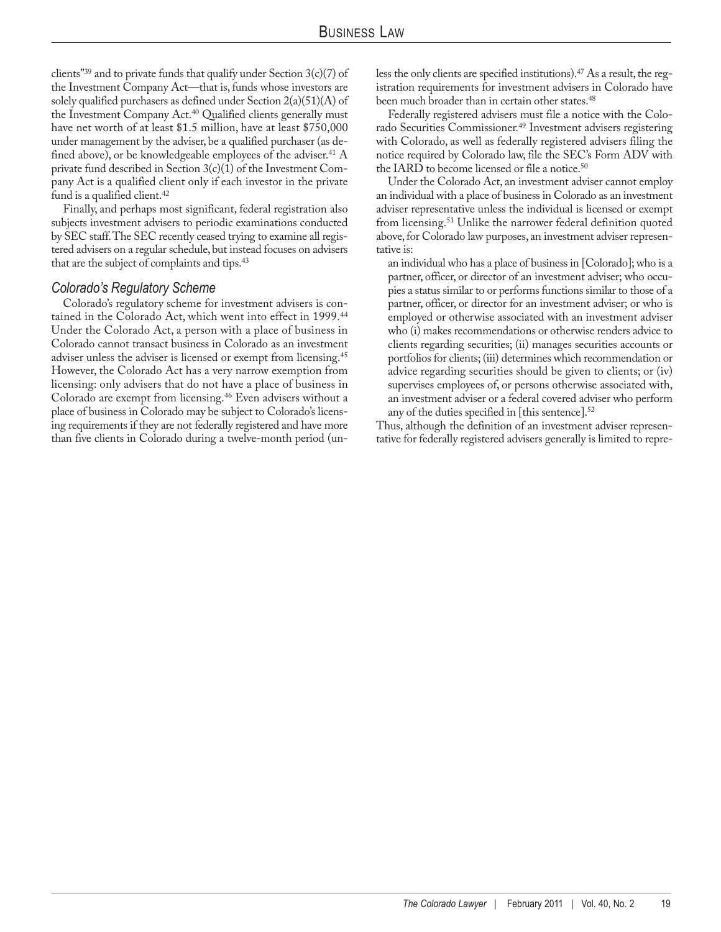clients"<sup>39</sup> and to private funds that qualify under Section  $3(c)(7)$  of the Investment Company Act—that is, funds whose investors are solely qualified purchasers as defined under Section  $2(a)(51)(A)$  of the Investment Company Act.<sup>40</sup> Qualified clients generally must have net worth of at least \$1.5 million, have at least \$750,000 under management by the adviser, be a qualified purchaser (as defined above), or be knowledgeable employees of the adviser.<sup>41</sup>  $A$ private fund described in Section 3(c)(1) of the Investment Company Act is a qualified client only if each investor in the private fund is a qualified client.<sup>42</sup>

Finally, and perhaps most significant, federal registration also subjects investment advisers to periodic examinations conducted by SEC staff. The SEC recently ceased trying to examine all registered advisers on a regular schedule, but instead focuses on advisers that are the subject of complaints and tips.43

#### *Colorado's Regulatory Scheme*

Colorado's regulatory scheme for investment advisers is contained in the Colorado Act, which went into effect in 1999.<sup>44</sup> Under the Colorado Act, a person with a place of business in Colorado cannot transact business in Colorado as an investment adviser unless the adviser is licensed or exempt from licensing.45 However, the Colorado Act has a very narrow exemption from licensing: only advisers that do not have a place of business in Colorado are exempt from licensing.46 Even advisers without a place of business in Colorado may be subject to Colorado's licensing requirements if they are not federally registered and have more than five clients in Colorado during a twelve-month period (unless the only clients are specified institutions).47 As a result, the registration requirements for investment advisers in Colorado have been much broader than in certain other states.<sup>48</sup>

Federally registered advisers must file a notice with the Colorado Securities Commissioner.<sup>49</sup> Investment advisers registering with Colorado, as well as federally registered advisers filing the notice required by Colorado law, file the SEC's Form ADV with the IARD to become licensed or file a notice.<sup>50</sup>

Under the Colorado Act, an investment adviser cannot employ an individual with a place of business in Colorado as an investment adviser representative unless the individual is licensed or exempt from licensing.51 Unlike the narrower federal definition quoted above, for Colorado law purposes, an investment adviser representative is:

an individual who has a place of business in [Colorado]; who is a partner, officer, or director of an investment adviser; who occupies a status similar to or performs functions similar to those of a partner, officer, or director for an investment adviser; or who is employed or otherwise associated with an investment adviser who (i) makes recommendations or otherwise renders advice to clients regarding securities; (ii) manages securities accounts or portfolios for clients; (iii) determines which recommendation or advice regarding securities should be given to clients; or (iv) supervises employees of, or persons otherwise associated with, an investment adviser or a federal covered adviser who perform any of the duties specified in [this sentence].<sup>52</sup>

Thus, although the definition of an investment adviser representative for federally registered advisers generally is limited to repre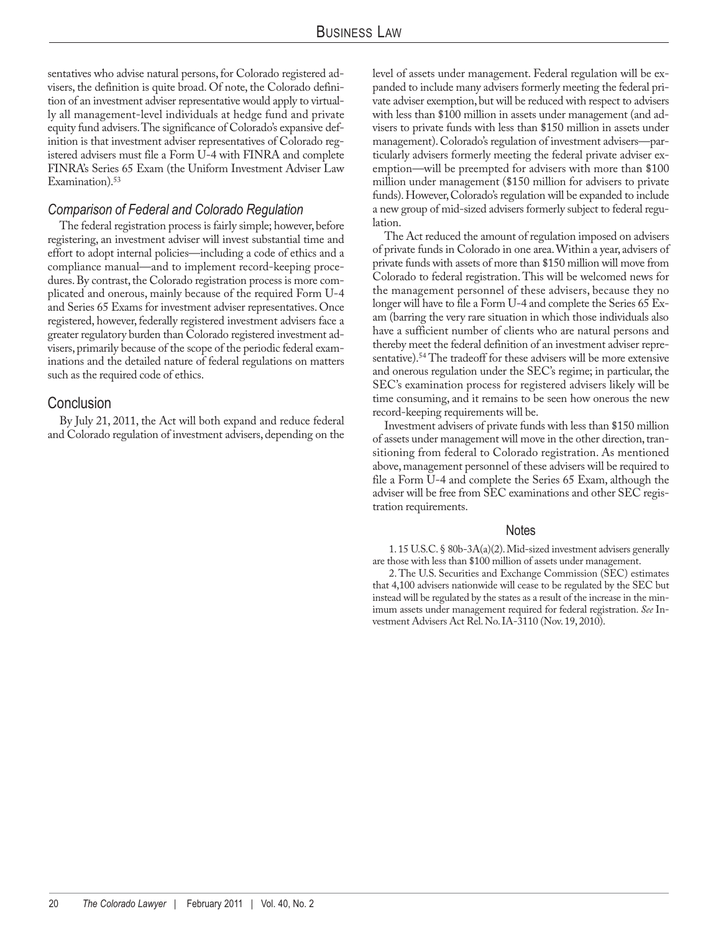sentatives who advise natural persons, for Colorado registered advisers, the definition is quite broad. Of note, the Colorado definition of an investment adviser representative would apply to virtually all management-level individuals at hedge fund and private equity fund advisers. The significance of Colorado's expansive definition is that investment adviser representatives of Colorado registered advisers must file a Form U-4 with FINRA and complete FINRA's Series 65 Exam (the Uniform Investment Adviser Law Examination).<sup>53</sup>

### *Comparison of Federal and Colorado Regulation*

The federal registration process is fairly simple; however, before registering, an investment adviser will invest substantial time and effort to adopt internal policies—including a code of ethics and a compliance manual—and to implement record-keeping procedures. By contrast, the Colorado registration process is more complicated and onerous, mainly because of the required Form U-4 and Series 65 Exams for investment adviser representatives. Once registered, however, federally registered investment advisers face a greater regulatory burden than Colorado registered investment advisers, primarily because of the scope of the periodic federal examinations and the detailed nature of federal regulations on matters such as the required code of ethics.

## Conclusion

By July 21, 2011, the Act will both expand and reduce federal and Colorado regulation of investment advisers, depending on the level of assets under management. Federal regulation will be expanded to include many advisers formerly meeting the federal private adviser exemption, but will be reduced with respect to advisers with less than \$100 million in assets under management (and advisers to private funds with less than \$150 million in assets under management). Colorado's regulation of investment advisers—particularly advisers formerly meeting the federal private adviser exemption—will be preempted for advisers with more than \$100 million under management (\$150 million for advisers to private funds). However, Colorado's regulation will be expanded to include a new group of mid-sized advisers formerly subject to federal regulation.

The Act reduced the amount of regulation imposed on advisers of private funds in Colorado in one area. Within a year, advisers of private funds with assets of more than \$150 million will move from Colorado to federal registration. This will be welcomed news for the management personnel of these advisers, because they no longer will have to file a Form U-4 and complete the Series 65 Exam (barring the very rare situation in which those individuals also have a sufficient number of clients who are natural persons and thereby meet the federal definition of an investment adviser representative).<sup>54</sup> The tradeoff for these advisers will be more extensive and onerous regulation under the SEC's regime; in particular, the SEC's examination process for registered advisers likely will be time consuming, and it remains to be seen how onerous the new record-keeping requirements will be.

Investment advisers of private funds with less than \$150 million of assets under management will move in the other direction, transitioning from federal to Colorado registration. As mentioned above, management personnel of these advisers will be required to file a Form U-4 and complete the Series 65 Exam, although the adviser will be free from SEC examinations and other SEC registration requirements.

#### **Notes**

1. 15 U.S.C. § 80b-3A(a)(2). Mid-sized investment advisers generally are those with less than \$100 million of assets under management.

2. The U.S. Securities and Exchange Commission (SEC) estimates that 4,100 advisers nationwide will cease to be regulated by the SEC but instead will be regulated by the states as a result of the increase in the minimum assets under management required for federal registration. *See* Investment Advisers Act Rel. No. IA-3110 (Nov. 19, 2010).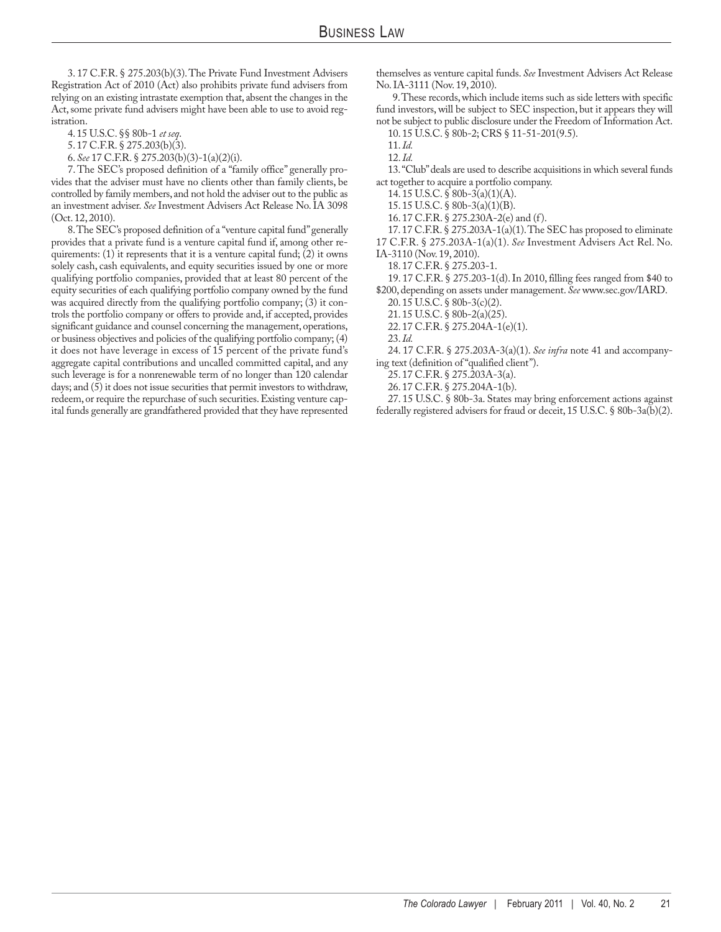3. 17 C.F.R. § 275.203(b)(3). The Private Fund Investment Advisers Registration Act of 2010 (Act) also prohibits private fund advisers from relying on an existing intrastate exemption that, absent the changes in the Act, some private fund advisers might have been able to use to avoid registration.

4. 15 U.S.C. §§ 80b-1 *et seq*.

5. 17 C.F.R. § 275.203(b)(3).

6. *See* 17 C.F.R. § 275.203(b)(3)-1(a)(2)(i).

7. The SEC's proposed definition of a "family office" generally provides that the adviser must have no clients other than family clients, be controlled by family members, and not hold the adviser out to the public as an investment adviser. *See* Investment Advisers Act Release No. IA 3098 (Oct. 12, 2010).

8. The SEC's proposed definition of a "venture capital fund" generally provides that a private fund is a venture capital fund if, among other requirements:  $(1)$  it represents that it is a venture capital fund;  $(2)$  it owns solely cash, cash equivalents, and equity securities issued by one or more qualifying portfolio companies, provided that at least 80 percent of the equity securities of each qualifying portfolio company owned by the fund was acquired directly from the qualifying portfolio company; (3) it controls the portfolio company or offers to provide and, if accepted, provides significant guidance and counsel concerning the management, operations, or business objectives and policies of the qualifying portfolio company; (4) it does not have leverage in excess of 15 percent of the private fund's aggregate capital contributions and uncalled committed capital, and any such leverage is for a nonrenewable term of no longer than 120 calendar days; and (5) it does not issue securities that permit investors to withdraw, redeem, or require the repurchase of such securities. Existing venture capital funds generally are grandfathered provided that they have represented

themselves as venture capital funds. *See* Investment Advisers Act Release No. IA-3111 (Nov. 19, 2010).

9. These records, which include items such as side letters with specific fund investors, will be subject to SEC inspection, but it appears they will not be subject to public disclosure under the Freedom of Information Act.

10. 15 U.S.C. § 80b-2; CRS § 11-51-201(9.5).

12. *Id.*

13. "Club" deals are used to describe acquisitions in which several funds act together to acquire a portfolio company.

14. 15 U.S.C.  $\hat{\varsigma}$  80b-3(a)(1)(A).

15. 15 U.S.C. § 80b-3(a)(1)(B).

16. 17 C.F.R. § 275.230A-2(e) and (f).

17. 17 C.F.R. § 275.203A-1(a)(1). The SEC has proposed to eliminate 17 C.F.R. § 275.203A-1(a)(1). *See* Investment Advisers Act Rel. No.

IA-3110 (Nov. 19, 2010).

18. 17 C.F.R. § 275.203-1.

19. 17 C.F.R. § 275.203-1(d). In 2010, filling fees ranged from \$40 to \$200, depending on assets under management. *See* www.sec.gov/IARD.

20. 15 U.S.C. § 80b-3(c)(2).

21. 15 U.S.C. § 80b-2(a)(25).

22. 17 C.F.R. § 275.204A-1(e)(1). 23. *Id.*

24. 17 C.F.R. § 275.203A-3(a)(1). *See infra* note 41 and accompanying text (definition of "qualified client").

25. 17 C.F.R. § 275.203A-3(a).

26. 17 C.F.R. § 275.204A-1(b).

27. 15 U.S.C. § 80b-3a. States may bring enforcement actions against federally registered advisers for fraud or deceit, 15 U.S.C. § 80b-3a(b)(2).

<sup>11.</sup> *Id.*